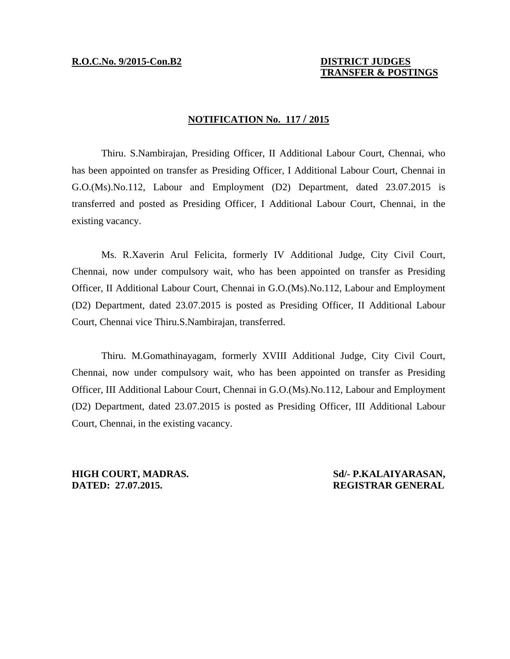# **TRANSFER & POSTINGS**

## **NOTIFICATION No. 117 / 2015**

 Thiru. S.Nambirajan, Presiding Officer, II Additional Labour Court, Chennai, who has been appointed on transfer as Presiding Officer, I Additional Labour Court, Chennai in G.O.(Ms).No.112, Labour and Employment (D2) Department, dated 23.07.2015 is transferred and posted as Presiding Officer, I Additional Labour Court, Chennai, in the existing vacancy.

 Ms. R.Xaverin Arul Felicita, formerly IV Additional Judge, City Civil Court, Chennai, now under compulsory wait, who has been appointed on transfer as Presiding Officer, II Additional Labour Court, Chennai in G.O.(Ms).No.112, Labour and Employment (D2) Department, dated 23.07.2015 is posted as Presiding Officer, II Additional Labour Court, Chennai vice Thiru.S.Nambirajan, transferred.

 Thiru. M.Gomathinayagam, formerly XVIII Additional Judge, City Civil Court, Chennai, now under compulsory wait, who has been appointed on transfer as Presiding Officer, III Additional Labour Court, Chennai in G.O.(Ms).No.112, Labour and Employment (D2) Department, dated 23.07.2015 is posted as Presiding Officer, III Additional Labour Court, Chennai, in the existing vacancy.

**HIGH COURT, MADRAS.** Sd/- P.KALAIYARASAN, **DATED: 27.07.2015. REGISTRAR GENERAL**